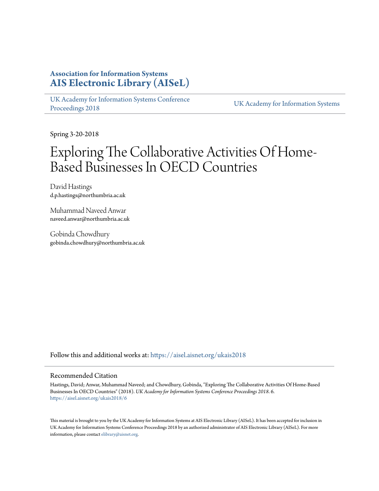## **Association for Information Systems [AIS Electronic Library \(AISeL\)](https://aisel.aisnet.org?utm_source=aisel.aisnet.org%2Fukais2018%2F6&utm_medium=PDF&utm_campaign=PDFCoverPages)**

[UK Academy for Information Systems Conference](https://aisel.aisnet.org/ukais2018?utm_source=aisel.aisnet.org%2Fukais2018%2F6&utm_medium=PDF&utm_campaign=PDFCoverPages) [Proceedings 2018](https://aisel.aisnet.org/ukais2018?utm_source=aisel.aisnet.org%2Fukais2018%2F6&utm_medium=PDF&utm_campaign=PDFCoverPages) [UK Academy for Information Systems](https://aisel.aisnet.org/ukais?utm_source=aisel.aisnet.org%2Fukais2018%2F6&utm_medium=PDF&utm_campaign=PDFCoverPages)

Spring 3-20-2018

# Exploring The Collaborative Activities Of Home-Based Businesses In OECD Countries

David Hastings d.p.hastings@northumbria.ac.uk

Muhammad Naveed Anwar naveed.anwar@northumbria.ac.uk

Gobinda Chowdhury gobinda.chowdhury@northumbria.ac.uk

Follow this and additional works at: [https://aisel.aisnet.org/ukais2018](https://aisel.aisnet.org/ukais2018?utm_source=aisel.aisnet.org%2Fukais2018%2F6&utm_medium=PDF&utm_campaign=PDFCoverPages)

#### Recommended Citation

Hastings, David; Anwar, Muhammad Naveed; and Chowdhury, Gobinda, "Exploring The Collaborative Activities Of Home-Based Businesses In OECD Countries" (2018). *UK Academy for Information Systems Conference Proceedings 2018*. 6. [https://aisel.aisnet.org/ukais2018/6](https://aisel.aisnet.org/ukais2018/6?utm_source=aisel.aisnet.org%2Fukais2018%2F6&utm_medium=PDF&utm_campaign=PDFCoverPages)

This material is brought to you by the UK Academy for Information Systems at AIS Electronic Library (AISeL). It has been accepted for inclusion in UK Academy for Information Systems Conference Proceedings 2018 by an authorized administrator of AIS Electronic Library (AISeL). For more information, please contact [elibrary@aisnet.org.](mailto:elibrary@aisnet.org%3E)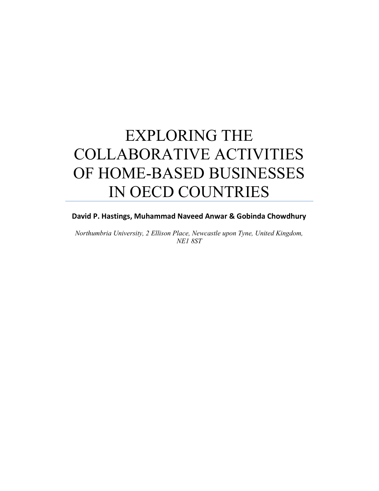# EXPLORING THE COLLABORATIVE ACTIVITIES OF HOME-BASED BUSINESSES IN OECD COUNTRIES

### David P. Hastings, Muhammad Naveed Anwar & Gobinda Chowdhury

Northumbria University, 2 Ellison Place, Newcastle upon Tyne, United Kingdom, NE1 8ST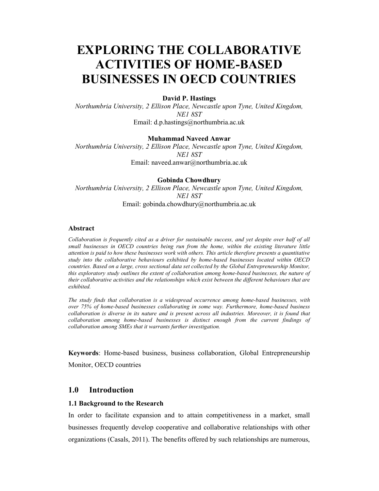# EXPLORING THE COLLABORATIVE ACTIVITIES OF HOME-BASED BUSINESSES IN OECD COUNTRIES

#### David P. Hastings

Northumbria University, 2 Ellison Place, Newcastle upon Tyne, United Kingdom, NE1 8ST Email: d.p.hastings@northumbria.ac.uk

#### Muhammad Naveed Anwar

Northumbria University, 2 Ellison Place, Newcastle upon Tyne, United Kingdom, NE1 8ST Email: naveed.anwar@northumbria.ac.uk

#### Gobinda Chowdhury

Northumbria University, 2 Ellison Place, Newcastle upon Tyne, United Kingdom, NE1 8ST Email: gobinda.chowdhury@northumbria.ac.uk

#### Abstract

Collaboration is frequently cited as a driver for sustainable success, and yet despite over half of all small businesses in OECD countries being run from the home, within the existing literature little attention is paid to how these businesses work with others. This article therefore presents a quantitative study into the collaborative behaviours exhibited by home-based businesses located within OECD countries. Based on a large, cross sectional data set collected by the Global Entrepreneurship Monitor, this exploratory study outlines the extent of collaboration among home-based businesses, the nature of their collaborative activities and the relationships which exist between the different behaviours that are exhibited.

The study finds that collaboration is a widespread occurrence among home-based businesses, with over 75% of home-based businesses collaborating in some way. Furthermore, home-based business collaboration is diverse in its nature and is present across all industries. Moreover, it is found that collaboration among home-based businesses is distinct enough from the current findings of collaboration among SMEs that it warrants further investigation.

Keywords: Home-based business, business collaboration, Global Entrepreneurship Monitor, OECD countries

#### 1.0 Introduction

#### 1.1 Background to the Research

In order to facilitate expansion and to attain competitiveness in a market, small businesses frequently develop cooperative and collaborative relationships with other organizations (Casals, 2011). The benefits offered by such relationships are numerous,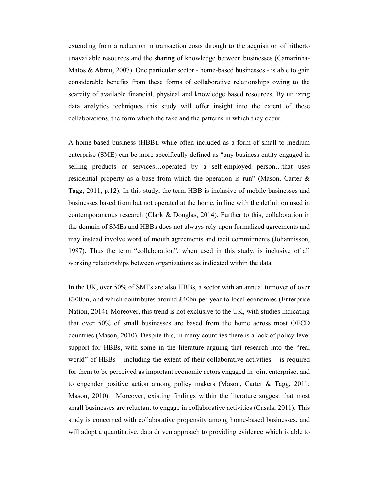extending from a reduction in transaction costs through to the acquisition of hitherto unavailable resources and the sharing of knowledge between businesses (Camarinha-Matos & Abreu, 2007). One particular sector - home-based businesses - is able to gain considerable benefits from these forms of collaborative relationships owing to the scarcity of available financial, physical and knowledge based resources. By utilizing data analytics techniques this study will offer insight into the extent of these collaborations, the form which the take and the patterns in which they occur.

A home-based business (HBB), while often included as a form of small to medium enterprise (SME) can be more specifically defined as "any business entity engaged in selling products or services…operated by a self-employed person…that uses residential property as a base from which the operation is run" (Mason, Carter & Tagg, 2011, p.12). In this study, the term HBB is inclusive of mobile businesses and businesses based from but not operated at the home, in line with the definition used in contemporaneous research (Clark & Douglas, 2014). Further to this, collaboration in the domain of SMEs and HBBs does not always rely upon formalized agreements and may instead involve word of mouth agreements and tacit commitments (Johannisson, 1987). Thus the term "collaboration", when used in this study, is inclusive of all working relationships between organizations as indicated within the data.

In the UK, over 50% of SMEs are also HBBs, a sector with an annual turnover of over £300bn, and which contributes around £40bn per year to local economies (Enterprise Nation, 2014). Moreover, this trend is not exclusive to the UK, with studies indicating that over 50% of small businesses are based from the home across most OECD countries (Mason, 2010). Despite this, in many countries there is a lack of policy level support for HBBs, with some in the literature arguing that research into the "real world" of  $HBBs$  – including the extent of their collaborative activities – is required for them to be perceived as important economic actors engaged in joint enterprise, and to engender positive action among policy makers (Mason, Carter & Tagg, 2011; Mason, 2010). Moreover, existing findings within the literature suggest that most small businesses are reluctant to engage in collaborative activities (Casals, 2011). This study is concerned with collaborative propensity among home-based businesses, and will adopt a quantitative, data driven approach to providing evidence which is able to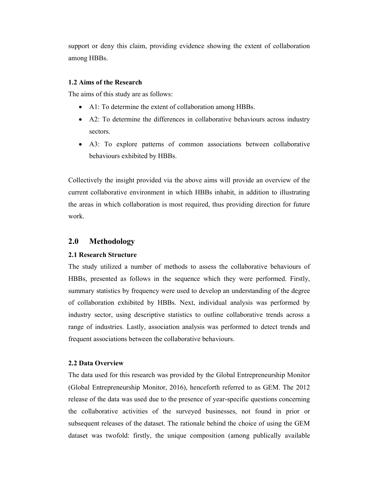support or deny this claim, providing evidence showing the extent of collaboration among HBBs.

#### 1.2 Aims of the Research

The aims of this study are as follows:

- A1: To determine the extent of collaboration among HBBs.
- A2: To determine the differences in collaborative behaviours across industry sectors.
- A3: To explore patterns of common associations between collaborative behaviours exhibited by HBBs.

Collectively the insight provided via the above aims will provide an overview of the current collaborative environment in which HBBs inhabit, in addition to illustrating the areas in which collaboration is most required, thus providing direction for future work.

#### 2.0 Methodology

#### 2.1 Research Structure

The study utilized a number of methods to assess the collaborative behaviours of HBBs, presented as follows in the sequence which they were performed. Firstly, summary statistics by frequency were used to develop an understanding of the degree of collaboration exhibited by HBBs. Next, individual analysis was performed by industry sector, using descriptive statistics to outline collaborative trends across a range of industries. Lastly, association analysis was performed to detect trends and frequent associations between the collaborative behaviours.

#### 2.2 Data Overview

The data used for this research was provided by the Global Entrepreneurship Monitor (Global Entrepreneurship Monitor, 2016), henceforth referred to as GEM. The 2012 release of the data was used due to the presence of year-specific questions concerning the collaborative activities of the surveyed businesses, not found in prior or subsequent releases of the dataset. The rationale behind the choice of using the GEM dataset was twofold: firstly, the unique composition (among publically available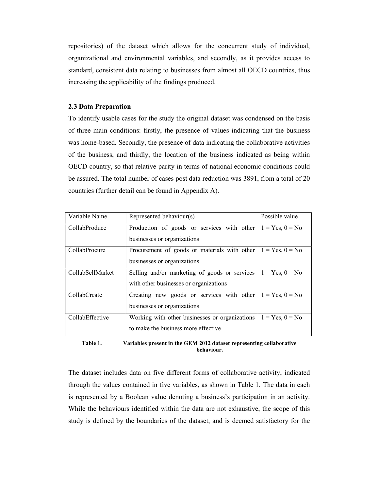repositories) of the dataset which allows for the concurrent study of individual, organizational and environmental variables, and secondly, as it provides access to standard, consistent data relating to businesses from almost all OECD countries, thus increasing the applicability of the findings produced.

#### 2.3 Data Preparation

To identify usable cases for the study the original dataset was condensed on the basis of three main conditions: firstly, the presence of values indicating that the business was home-based. Secondly, the presence of data indicating the collaborative activities of the business, and thirdly, the location of the business indicated as being within OECD country, so that relative parity in terms of national economic conditions could be assured. The total number of cases post data reduction was 3891, from a total of 20 countries (further detail can be found in Appendix A).

| Variable Name    | Represented behaviour(s)                       | Possible value    |
|------------------|------------------------------------------------|-------------------|
| CollabProduce    | Production of goods or services with other     | $1 = Yes, 0 = No$ |
|                  | businesses or organizations                    |                   |
| CollabProcure    | Procurement of goods or materials with other   | $1 = Yes, 0 = No$ |
|                  | businesses or organizations                    |                   |
| CollabSellMarket | Selling and/or marketing of goods or services  | $1 = Yes, 0 = No$ |
|                  | with other businesses or organizations         |                   |
| CollabCreate     | Creating new goods or services with other      | $1 = Yes, 0 = No$ |
|                  | businesses or organizations                    |                   |
| CollabEffective  | Working with other businesses or organizations | $1 = Yes, 0 = No$ |
|                  | to make the business more effective            |                   |

Table 1. Variables present in the GEM 2012 dataset representing collaborative behaviour.

The dataset includes data on five different forms of collaborative activity, indicated through the values contained in five variables, as shown in Table 1. The data in each is represented by a Boolean value denoting a business's participation in an activity. While the behaviours identified within the data are not exhaustive, the scope of this study is defined by the boundaries of the dataset, and is deemed satisfactory for the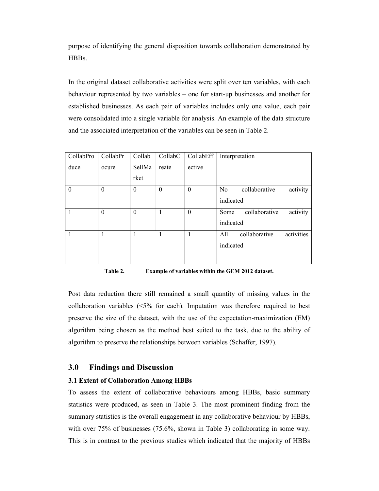purpose of identifying the general disposition towards collaboration demonstrated by HBBs.

In the original dataset collaborative activities were split over ten variables, with each behaviour represented by two variables – one for start-up businesses and another for established businesses. As each pair of variables includes only one value, each pair were consolidated into a single variable for analysis. An example of the data structure and the associated interpretation of the variables can be seen in Table 2.

| CollabPro | CollabPr | Collab           | CollabC  | CollabEff | Interpretation                              |
|-----------|----------|------------------|----------|-----------|---------------------------------------------|
| duce      | ocure    | SellMa           | reate    | ective    |                                             |
|           |          | rket             |          |           |                                             |
| $\theta$  | $\theta$ | $\boldsymbol{0}$ | $\theta$ | $\theta$  | activity<br>collaborative<br>N <sub>o</sub> |
|           |          |                  |          |           | indicated                                   |
|           | $\theta$ | $\theta$         | 1        | $\theta$  | activity<br>collaborative<br>Some           |
|           |          |                  |          |           | indicated                                   |
|           |          | 1                |          |           | activities<br>collaborative<br>A11          |
|           |          |                  |          |           | indicated                                   |
|           |          |                  |          |           |                                             |

Table 2. Example of variables within the GEM 2012 dataset.

Post data reduction there still remained a small quantity of missing values in the collaboration variables (<5% for each). Imputation was therefore required to best preserve the size of the dataset, with the use of the expectation-maximization (EM) algorithm being chosen as the method best suited to the task, due to the ability of algorithm to preserve the relationships between variables (Schaffer, 1997).

#### 3.0 Findings and Discussion

#### 3.1 Extent of Collaboration Among HBBs

To assess the extent of collaborative behaviours among HBBs, basic summary statistics were produced, as seen in Table 3. The most prominent finding from the summary statistics is the overall engagement in any collaborative behaviour by HBBs, with over 75% of businesses (75.6%, shown in Table 3) collaborating in some way. This is in contrast to the previous studies which indicated that the majority of HBBs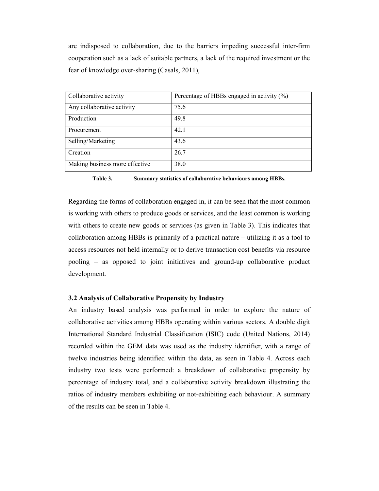are indisposed to collaboration, due to the barriers impeding successful inter-firm cooperation such as a lack of suitable partners, a lack of the required investment or the fear of knowledge over-sharing (Casals, 2011),

| Collaborative activity         | Percentage of HBBs engaged in activity (%) |
|--------------------------------|--------------------------------------------|
| Any collaborative activity     | 75.6                                       |
| Production                     | 49.8                                       |
| Procurement                    | 42.1                                       |
| Selling/Marketing              | 43.6                                       |
| Creation                       | 26.7                                       |
| Making business more effective | 38.0                                       |

Table 3. Summary statistics of collaborative behaviours among HBBs.

Regarding the forms of collaboration engaged in, it can be seen that the most common is working with others to produce goods or services, and the least common is working with others to create new goods or services (as given in Table 3). This indicates that collaboration among HBBs is primarily of a practical nature – utilizing it as a tool to access resources not held internally or to derive transaction cost benefits via resource pooling – as opposed to joint initiatives and ground-up collaborative product development.

#### 3.2 Analysis of Collaborative Propensity by Industry

An industry based analysis was performed in order to explore the nature of collaborative activities among HBBs operating within various sectors. A double digit International Standard Industrial Classification (ISIC) code (United Nations, 2014) recorded within the GEM data was used as the industry identifier, with a range of twelve industries being identified within the data, as seen in Table 4. Across each industry two tests were performed: a breakdown of collaborative propensity by percentage of industry total, and a collaborative activity breakdown illustrating the ratios of industry members exhibiting or not-exhibiting each behaviour. A summary of the results can be seen in Table 4.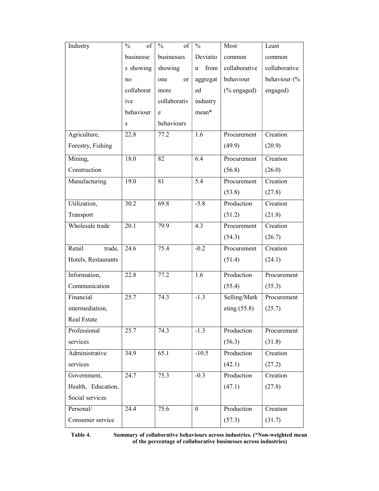| Industry            | $\frac{0}{0}$<br>of | $\frac{0}{0}$<br>of  | $\frac{0}{0}$  | Most           | Least         |
|---------------------|---------------------|----------------------|----------------|----------------|---------------|
|                     | businesse           | businesses           | Deviatio       | common         | common        |
|                     | s showing           | showing              | from<br>n      | collaborative  | collaborative |
|                     | no                  | one<br><sub>or</sub> | aggregat       | behaviour      | behaviour (%  |
|                     | collaborat          | more                 | ed             | $%$ engaged)   | engaged)      |
|                     | ive                 | collaborativ         | industry       |                |               |
|                     | behaviour           | e                    | mean*          |                |               |
|                     | ${\bf S}$           | behaviours           |                |                |               |
| Agriculture,        | 22.8                | 77.2                 | 1.6            | Procurement    | Creation      |
| Forestry, Fishing   |                     |                      |                | (49.9)         | (20.9)        |
| Mining,             | 18.0                | 82                   | 6.4            | Procurement    | Creation      |
| Construction        |                     |                      |                | (56.8)         | (26.0)        |
| Manufacturing       | 19.0                | 81                   | 5.4            | Procurement    | Creation      |
|                     |                     |                      |                | (53.8)         | (27.8)        |
| Utilization,        | 30.2                | 69.8                 | $-5.8$         | Production     | Creation      |
| Transport           |                     |                      |                | (51.2)         | (21.8)        |
| Wholesale trade     | 20.1                | 79.9                 | 4.3            | Procurement    | Creation      |
|                     |                     |                      |                | (54.3)         | (26.7)        |
| Retail<br>trade,    | 24.6                | 75.4                 | $-0.2$         | Procurement    | Creation      |
| Hotels, Restaurants |                     |                      |                | (51.4)         | (24.1)        |
| Information,        | 22.8                | 77.2                 | 1.6            | Production     | Procurement   |
| Communication       |                     |                      |                | (55.4)         | (35.3)        |
| Financial           | 25.7                | 74.3                 | $-1.3$         | Selling/Mark   | Procurement   |
| intermediation,     |                     |                      |                | eting $(55.8)$ | (25.7)        |
| Real Estate         |                     |                      |                |                |               |
| Professional        | 25.7                | 74.3                 | $-1.3$         | Production     | Procurement   |
| services            |                     |                      |                | (56.3)         | (31.8)        |
| Administrative      | 34.9                | 65.1                 | $-10.5$        | Production     | Creation      |
| services            |                     |                      |                | (42.1)         | (27.2)        |
| Government,         | 24.7                | 75.3                 | $-0.3$         | Production     | Creation      |
| Health, Education,  |                     |                      |                | (47.1)         | (27.8)        |
| Social services     |                     |                      |                |                |               |
| Personal/           | 24.4                | 75.6                 | $\overline{0}$ | Production     | Creation      |
| Consumer service    |                     |                      |                | (57.3)         | (31.7)        |

Table 4. Summary of collaborative behaviours across industries. (\*Non-weighted mean of the percentage of collaborative businesses across industries)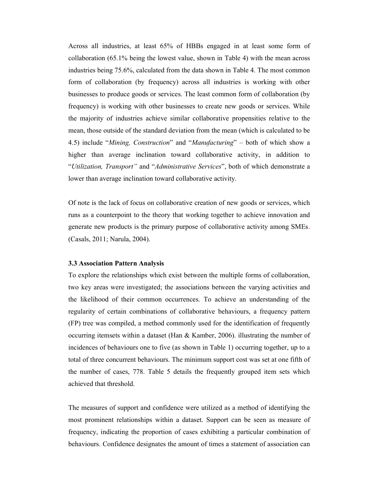Across all industries, at least 65% of HBBs engaged in at least some form of collaboration (65.1% being the lowest value, shown in Table 4) with the mean across industries being 75.6%, calculated from the data shown in Table 4. The most common form of collaboration (by frequency) across all industries is working with other businesses to produce goods or services. The least common form of collaboration (by frequency) is working with other businesses to create new goods or services. While the majority of industries achieve similar collaborative propensities relative to the mean, those outside of the standard deviation from the mean (which is calculated to be 4.5) include "Mining, Construction" and "Manufacturing" – both of which show a higher than average inclination toward collaborative activity, in addition to "Utilization, Transport" and "Administrative Services", both of which demonstrate a lower than average inclination toward collaborative activity.

Of note is the lack of focus on collaborative creation of new goods or services, which runs as a counterpoint to the theory that working together to achieve innovation and generate new products is the primary purpose of collaborative activity among SMEs. (Casals, 2011; Narula, 2004).

#### 3.3 Association Pattern Analysis

To explore the relationships which exist between the multiple forms of collaboration, two key areas were investigated; the associations between the varying activities and the likelihood of their common occurrences. To achieve an understanding of the regularity of certain combinations of collaborative behaviours, a frequency pattern (FP) tree was compiled, a method commonly used for the identification of frequently occurring itemsets within a dataset (Han & Kamber, 2006). illustrating the number of incidences of behaviours one to five (as shown in Table 1) occurring together, up to a total of three concurrent behaviours. The minimum support cost was set at one fifth of the number of cases, 778. Table 5 details the frequently grouped item sets which achieved that threshold.

The measures of support and confidence were utilized as a method of identifying the most prominent relationships within a dataset. Support can be seen as measure of frequency, indicating the proportion of cases exhibiting a particular combination of behaviours. Confidence designates the amount of times a statement of association can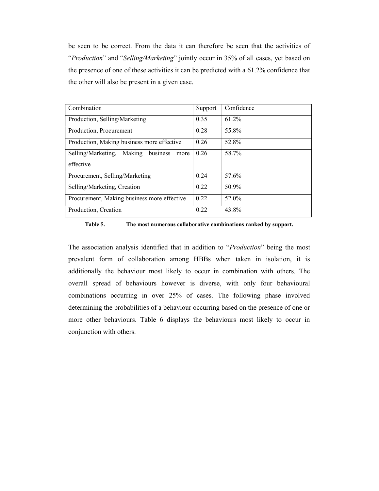be seen to be correct. From the data it can therefore be seen that the activities of "Production" and "Selling/Marketing" jointly occur in 35% of all cases, yet based on the presence of one of these activities it can be predicted with a 61.2% confidence that the other will also be present in a given case.

| Combination                                                | Support | Confidence |
|------------------------------------------------------------|---------|------------|
| Production, Selling/Marketing                              | 0.35    | 61.2%      |
| Production, Procurement                                    | 0.28    | 55.8%      |
| Production, Making business more effective                 | 0.26    | 52.8%      |
| Making business<br>Selling/Marketing,<br>more<br>effective | 0.26    | 58.7%      |
| Procurement, Selling/Marketing                             | 0.24    | 57.6%      |
| Selling/Marketing, Creation                                | 0.22    | 50.9%      |
| Procurement, Making business more effective                | 0.22    | 52.0%      |
| Production, Creation                                       | 0.22    | 43.8%      |

Table 5. The most numerous collaborative combinations ranked by support.

The association analysis identified that in addition to "*Production*" being the most prevalent form of collaboration among HBBs when taken in isolation, it is additionally the behaviour most likely to occur in combination with others. The overall spread of behaviours however is diverse, with only four behavioural combinations occurring in over 25% of cases. The following phase involved determining the probabilities of a behaviour occurring based on the presence of one or more other behaviours. Table 6 displays the behaviours most likely to occur in conjunction with others.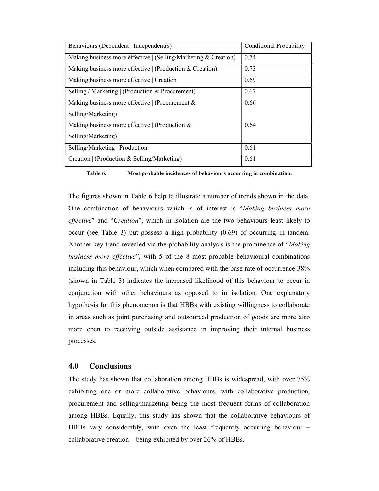| Behaviours (Dependent   Independent(s)                          | Conditional Probability |
|-----------------------------------------------------------------|-------------------------|
| Making business more effective   (Selling/Marketing & Creation) | 0.74                    |
| Making business more effective $ $ (Production & Creation)      | 0.73                    |
| Making business more effective   Creation                       | 0.69                    |
| Selling / Marketing   (Production & Procurement)                | 0.67                    |
| Making business more effective   (Procurement &                 | 0.66                    |
| Selling/Marketing)                                              |                         |
| Making business more effective $ $ (Production &                | 0.64                    |
| Selling/Marketing)                                              |                         |
| Selling/Marketing   Production                                  | 0.61                    |
| Creation   (Production & Selling/Marketing)                     | 0.61                    |

Table 6. Most probable incidences of behaviours occurring in combination.

The figures shown in Table 6 help to illustrate a number of trends shown in the data. One combination of behaviours which is of interest is "Making business more effective" and "Creation", which in isolation are the two behaviours least likely to occur (see Table 3) but possess a high probability (0.69) of occurring in tandem. Another key trend revealed via the probability analysis is the prominence of "*Making* business more effective", with 5 of the 8 most probable behavioural combinations including this behaviour, which when compared with the base rate of occurrence 38% (shown in Table 3) indicates the increased likelihood of this behaviour to occur in conjunction with other behaviours as opposed to in isolation. One explanatory hypothesis for this phenomenon is that HBBs with existing willingness to collaborate in areas such as joint purchasing and outsourced production of goods are more also more open to receiving outside assistance in improving their internal business processes.

#### 4.0 Conclusions

The study has shown that collaboration among HBBs is widespread, with over 75% exhibiting one or more collaborative behaviours, with collaborative production, procurement and selling/marketing being the most frequent forms of collaboration among HBBs. Equally, this study has shown that the collaborative behaviours of HBBs vary considerably, with even the least frequently occurring behaviour – collaborative creation – being exhibited by over 26% of HBBs.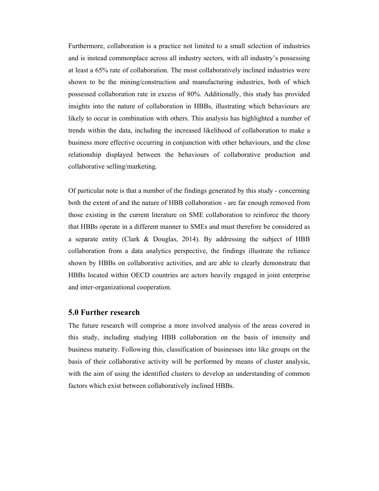Furthermore, collaboration is a practice not limited to a small selection of industries and is instead commonplace across all industry sectors, with all industry's possessing at least a 65% rate of collaboration. The most collaboratively inclined industries were shown to be the mining/construction and manufacturing industries, both of which possessed collaboration rate in excess of 80%. Additionally, this study has provided insights into the nature of collaboration in HBBs, illustrating which behaviours are likely to occur in combination with others. This analysis has highlighted a number of trends within the data, including the increased likelihood of collaboration to make a business more effective occurring in conjunction with other behaviours, and the close relationship displayed between the behaviours of collaborative production and collaborative selling/marketing.

Of particular note is that a number of the findings generated by this study - concerning both the extent of and the nature of HBB collaboration - are far enough removed from those existing in the current literature on SME collaboration to reinforce the theory that HBBs operate in a different manner to SMEs and must therefore be considered as a separate entity (Clark & Douglas, 2014). By addressing the subject of HBB collaboration from a data analytics perspective, the findings illustrate the reliance shown by HBBs on collaborative activities, and are able to clearly demonstrate that HBBs located within OECD countries are actors heavily engaged in joint enterprise and inter-organizational cooperation.

#### 5.0 Further research

The future research will comprise a more involved analysis of the areas covered in this study, including studying HBB collaboration on the basis of intensity and business maturity. Following this, classification of businesses into like groups on the basis of their collaborative activity will be performed by means of cluster analysis, with the aim of using the identified clusters to develop an understanding of common factors which exist between collaboratively inclined HBBs.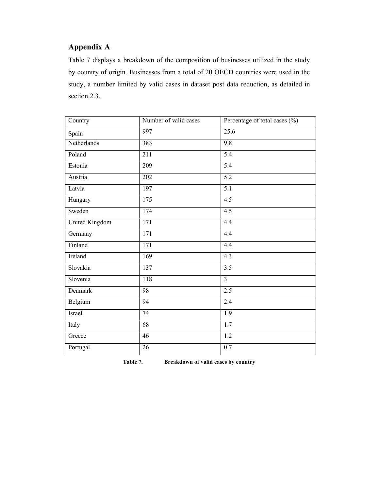## Appendix A

Table 7 displays a breakdown of the composition of businesses utilized in the study by country of origin. Businesses from a total of 20 OECD countries were used in the study, a number limited by valid cases in dataset post data reduction, as detailed in section 2.3.

| Country        | Number of valid cases | Percentage of total cases $(\% )$ |
|----------------|-----------------------|-----------------------------------|
| Spain          | 997                   | 25.6                              |
| Netherlands    | 383                   | $\overline{9.8}$                  |
| Poland         | 211                   | 5.4                               |
| Estonia        | 209                   | 5.4                               |
| Austria        | 202                   | 5.2                               |
| Latvia         | 197                   | 5.1                               |
| Hungary        | $\overline{175}$      | $\overline{4.5}$                  |
| Sweden         | 174                   | $\overline{4.5}$                  |
| United Kingdom | 171                   | 4.4                               |
| Germany        | 171                   | 4.4                               |
| Finland        | 171                   | 4.4                               |
| Ireland        | 169                   | $\overline{4.3}$                  |
| Slovakia       | 137                   | 3.5                               |
| Slovenia       | 118                   | $\overline{3}$                    |
| Denmark        | 98                    | 2.5                               |
| Belgium        | 94                    | 2.4                               |
| Israel         | 74                    | 1.9                               |
| Italy          | $\overline{68}$       | 1.7                               |
| Greece         | 46                    | 1.2                               |
| Portugal       | 26                    | 0.7                               |

Table 7. Breakdown of valid cases by country